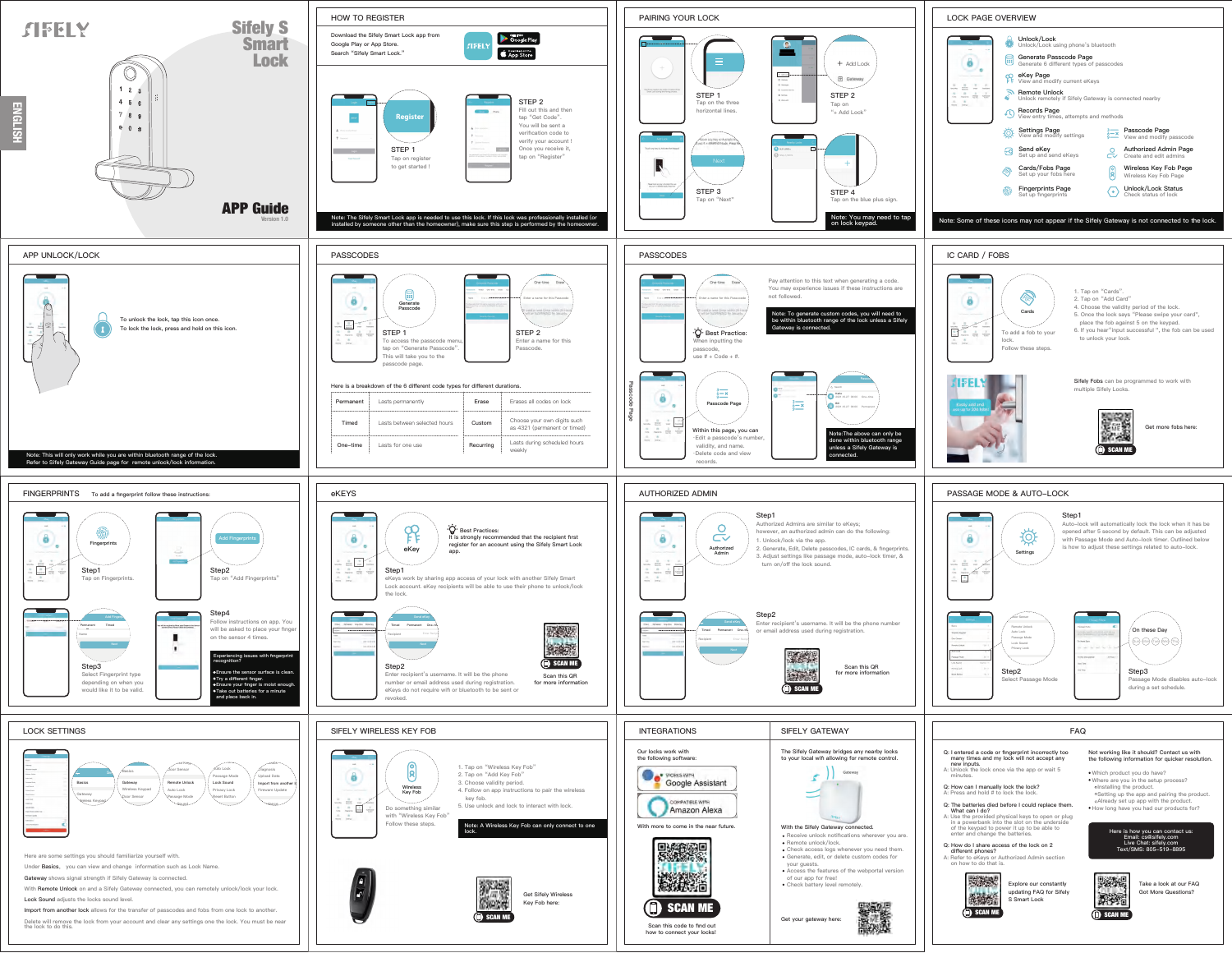